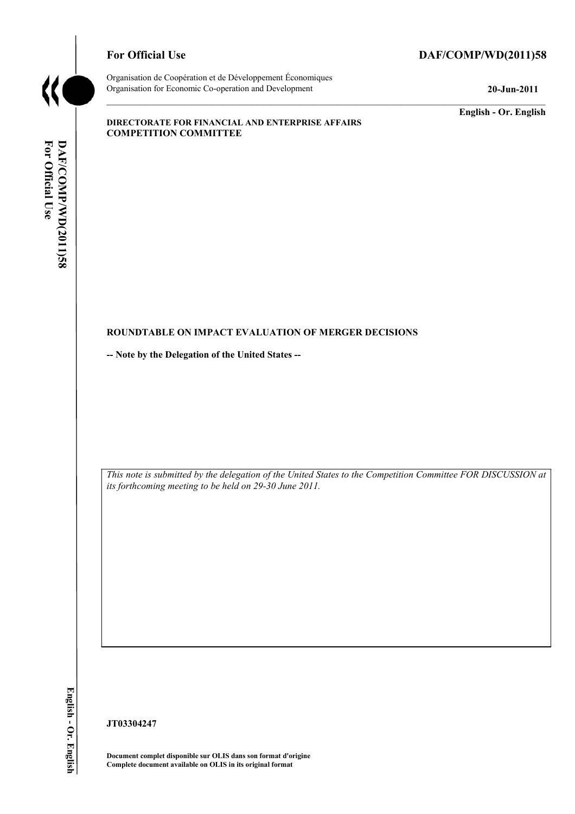

# For Official Use DAF/COMP/WD(2011)58

Organisation de Coopération et de Développement Économiques Organisation for Economic Co-operation and Development **20-Jun-2011** 

**English - Or. English** 

#### **DIRECTORATE FOR FINANCIAL AND ENTERPRISE AFFAIRS COMPETITION COMMITTEE**

# For Official Use DAF/COMP/WD(2011)58 **For Official DAF/COMP**

#### **ROUNDTABLE ON IMPACT EVALUATION OF MERGER DECISIONS**

**-- Note by the Delegation of the United States --** 

 *This note is submitted by the delegation of the United States to the Competition Committee FOR DISCUSSION at its forthcoming meeting to be held on 29-30 June 2011.* 

**JT03304247** 

 **Document complet disponible sur OLIS dans son format d'origine Complete document available on OLIS in its original format**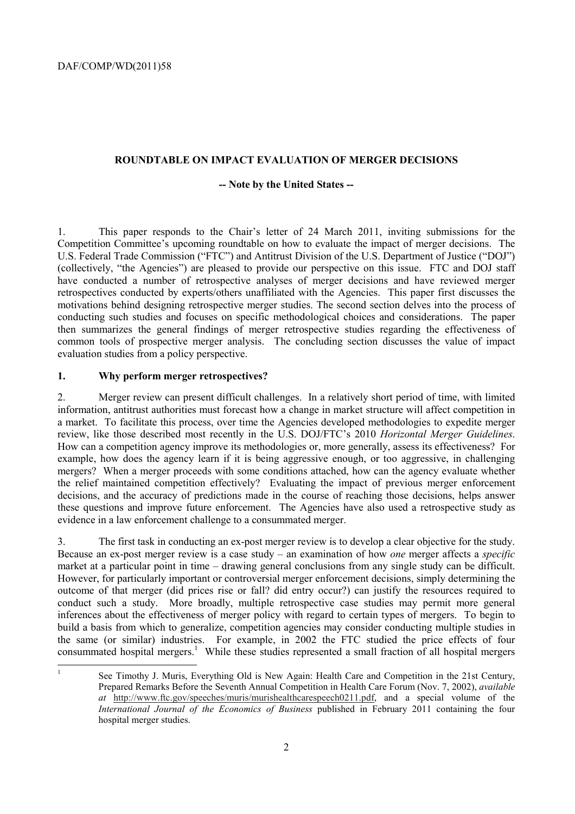#### **ROUNDTABLE ON IMPACT EVALUATION OF MERGER DECISIONS**

#### **-- Note by the United States --**

 retrospectives conducted by experts/others unaffiliated with the Agencies. This paper first discusses the 1. This paper responds to the Chair's letter of 24 March 2011, inviting submissions for the Competition Committee's upcoming roundtable on how to evaluate the impact of merger decisions. The U.S. Federal Trade Commission ("FTC") and Antitrust Division of the U.S. Department of Justice ("DOJ") (collectively, "the Agencies") are pleased to provide our perspective on this issue. FTC and DOJ staff have conducted a number of retrospective analyses of merger decisions and have reviewed merger motivations behind designing retrospective merger studies. The second section delves into the process of conducting such studies and focuses on specific methodological choices and considerations. The paper then summarizes the general findings of merger retrospective studies regarding the effectiveness of common tools of prospective merger analysis. The concluding section discusses the value of impact evaluation studies from a policy perspective.

## **1. Why perform merger retrospectives?**

 $\frac{1}{1}$ 

2. Merger review can present difficult challenges. In a relatively short period of time, with limited information, antitrust authorities must forecast how a change in market structure will affect competition in a market. To facilitate this process, over time the Agencies developed methodologies to expedite merger review, like those described most recently in the U.S. DOJ/FTC's 2010 *Horizontal Merger Guidelines*. How can a competition agency improve its methodologies or, more generally, assess its effectiveness? For example, how does the agency learn if it is being aggressive enough, or too aggressive, in challenging mergers? When a merger proceeds with some conditions attached, how can the agency evaluate whether the relief maintained competition effectively? Evaluating the impact of previous merger enforcement decisions, and the accuracy of predictions made in the course of reaching those decisions, helps answer these questions and improve future enforcement. The Agencies have also used a retrospective study as evidence in a law enforcement challenge to a consummated merger.

market at a particular point in time – drawing general conclusions from any single study can be difficult. outcome of that merger (did prices rise or fall? did entry occur?) can justify the resources required to build a basis from which to generalize, competition agencies may consider conducting multiple studies in 3. The first task in conducting an ex-post merger review is to develop a clear objective for the study. Because an ex-post merger review is a case study – an examination of how *one* merger affects a *specific*  However, for particularly important or controversial merger enforcement decisions, simply determining the conduct such a study. More broadly, multiple retrospective case studies may permit more general inferences about the effectiveness of merger policy with regard to certain types of mergers. To begin to the same (or similar) industries. For example, in 2002 the FTC studied the price effects of four consummated hospital mergers.<sup>1</sup> While these studies represented a small fraction of all hospital mergers

 *at* http://www.ftc.gov/speeches/muris/murishealthcarespeech0211.pdf, and a special volume of the See Timothy J. Muris, Everything Old is New Again: Health Care and Competition in the 21st Century, Prepared Remarks Before the Seventh Annual Competition in Health Care Forum (Nov. 7, 2002), *available International Journal of the Economics of Business* published in February 2011 containing the four hospital merger studies.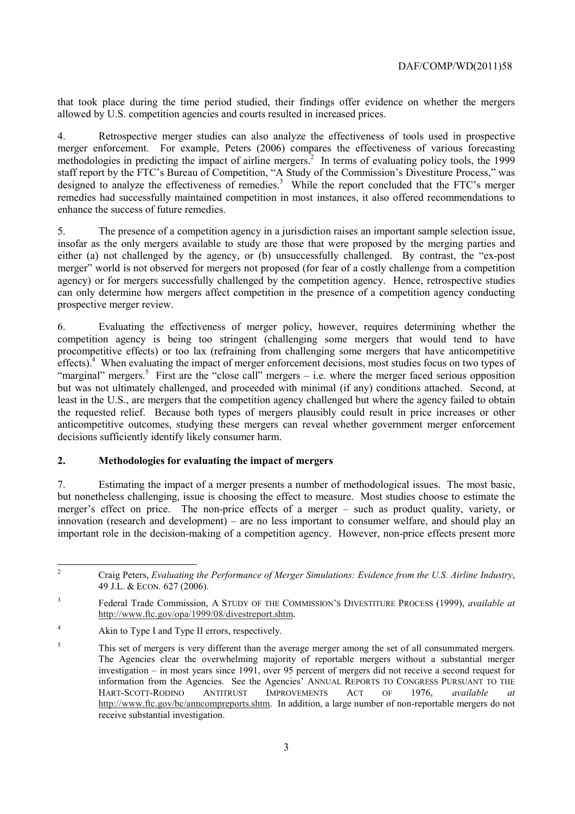allowed by U.S. competition agencies and courts resulted in increased prices. that took place during the time period studied, their findings offer evidence on whether the mergers

4. Retrospective merger studies can also analyze the effectiveness of tools used in prospective merger enforcement. For example, Peters (2006) compares the effectiveness of various forecasting methodologies in predicting the impact of airline mergers.<sup>2</sup> In terms of evaluating policy tools, the 1999 staff report by the FTC's Bureau of Competition, "A Study of the Commission's Divestiture Process," was designed to analyze the effectiveness of remedies.<sup>3</sup> While the report concluded that the FTC's merger remedies had successfully maintained competition in most instances, it also offered recommendations to enhance the success of future remedies.

 prospective merger review. 5. The presence of a competition agency in a jurisdiction raises an important sample selection issue, insofar as the only mergers available to study are those that were proposed by the merging parties and either (a) not challenged by the agency, or (b) unsuccessfully challenged. By contrast, the "ex-post merger" world is not observed for mergers not proposed (for fear of a costly challenge from a competition agency) or for mergers successfully challenged by the competition agency. Hence, retrospective studies can only determine how mergers affect competition in the presence of a competition agency conducting

 procompetitive effects) or too lax (refraining from challenging some mergers that have anticompetitive 6. Evaluating the effectiveness of merger policy, however, requires determining whether the competition agency is being too stringent (challenging some mergers that would tend to have effects).<sup>4</sup> When evaluating the impact of merger enforcement decisions, most studies focus on two types of "marginal" mergers.<sup>5</sup> First are the "close call" mergers – i.e. where the merger faced serious opposition but was not ultimately challenged, and proceeded with minimal (if any) conditions attached. Second, at least in the U.S., are mergers that the competition agency challenged but where the agency failed to obtain the requested relief. Because both types of mergers plausibly could result in price increases or other anticompetitive outcomes, studying these mergers can reveal whether government merger enforcement decisions sufficiently identify likely consumer harm.

# **2. Methodologies for evaluating the impact of mergers**

 7. Estimating the impact of a merger presents a number of methodological issues. The most basic, but nonetheless challenging, issue is choosing the effect to measure. Most studies choose to estimate the merger's effect on price. The non-price effects of a merger – such as product quality, variety, or innovation (research and development) – are no less important to consumer welfare, and should play an important role in the decision-making of a competition agency. However, non-price effects present more

 $\overline{a}$ 

 49 J.L. & ECON*.* 627 (2006). 2 Craig Peters, *Evaluating the Performance of Merger Simulations: Evidence from the U.S. Airline Industry*,

<sup>3</sup> Federal Trade Commission, A STUDY OF THE COMMISSION'S DIVESTITURE PROCESS (1999), *available at*  http://www.ftc.gov/opa/1999/08/divestreport.shtm.

<sup>&</sup>lt;sup>4</sup> Akin to Type I and Type II errors, respectively.

 investigation – in most years since 1991, over 95 percent of mergers did not receive a second request for information from the Agencies. See the Agencies' ANNUAL REPORTS TO CONGRESS PURSUANT TO THE <sup>5</sup> This set of mergers is very different than the average merger among the set of all consummated mergers. The Agencies clear the overwhelming majority of reportable mergers without a substantial merger HART-SCOTT-RODINO ANTITRUST IMPROVEMENTS ACT OF 1976, *available at*  http://www.ftc.gov/bc/anncompreports.shtm. In addition, a large number of non-reportable mergers do not receive substantial investigation.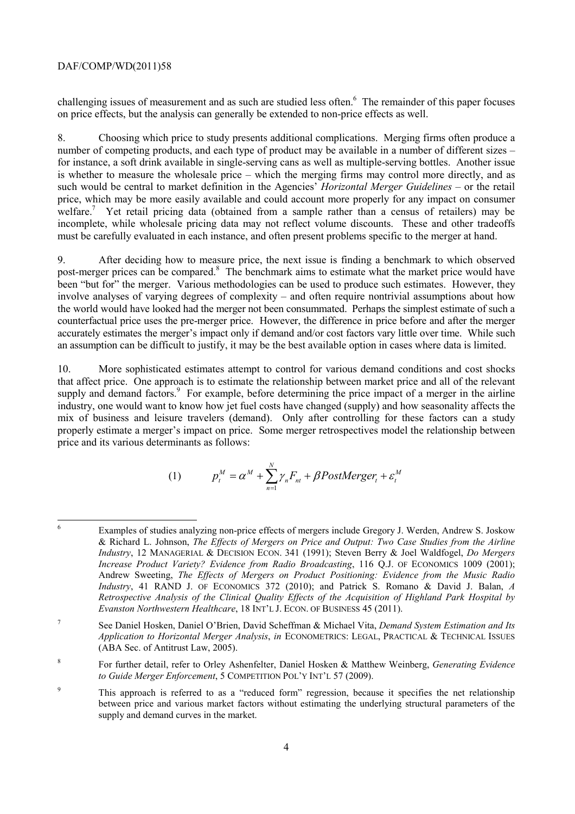on price effects, but the analysis can generally be extended to non-price effects as well. challenging issues of measurement and as such are studied less often.<sup>6</sup> The remainder of this paper focuses

 incomplete, while wholesale pricing data may not reflect volume discounts. These and other tradeoffs 8. Choosing which price to study presents additional complications. Merging firms often produce a number of competing products, and each type of product may be available in a number of different sizes – for instance, a soft drink available in single-serving cans as well as multiple-serving bottles. Another issue is whether to measure the wholesale price – which the merging firms may control more directly, and as such would be central to market definition in the Agencies' *Horizontal Merger Guidelines* – or the retail price, which may be more easily available and could account more properly for any impact on consumer welfare.<sup>7</sup> Yet retail pricing data (obtained from a sample rather than a census of retailers) may be must be carefully evaluated in each instance, and often present problems specific to the merger at hand.

post-merger prices can be compared.<sup>8</sup> The benchmark aims to estimate what the market price would have the world would have looked had the merger not been consummated. Perhaps the simplest estimate of such a an assumption can be difficult to justify, it may be the best available option in cases where data is limited. 9. After deciding how to measure price, the next issue is finding a benchmark to which observed been "but for" the merger. Various methodologies can be used to produce such estimates. However, they involve analyses of varying degrees of complexity – and often require nontrivial assumptions about how counterfactual price uses the pre-merger price. However, the difference in price before and after the merger accurately estimates the merger's impact only if demand and/or cost factors vary little over time. While such

10. More sophisticated estimates attempt to control for various demand conditions and cost shocks that affect price. One approach is to estimate the relationship between market price and all of the relevant supply and demand factors.<sup>9</sup> For example, before determining the price impact of a merger in the airline industry, one would want to know how jet fuel costs have changed (supply) and how seasonality affects the mix of business and leisure travelers (demand). Only after controlling for these factors can a study properly estimate a merger's impact on price. Some merger retrospectives model the relationship between price and its various determinants as follows:

(1) 
$$
p_t^M = \alpha^M + \sum_{n=1}^N \gamma_n F_{nt} + \beta PostMerge_r + \varepsilon_t^M
$$

 $\overline{a}$ 

<sup>6</sup> Examples of studies analyzing non-price effects of mergers include Gregory J. Werden, Andrew S. Joskow & Richard L. Johnson, *The Effects of Mergers on Price and Output: Two Case Studies from the Airline Industry*, 12 MANAGERIAL & DECISION ECON. 341 (1991); Steven Berry & Joel Waldfogel, *Do Mergers Increase Product Variety? Evidence from Radio Broadcasting*, 116 Q.J. OF ECONOMICS 1009 (2001); Andrew Sweeting, *The Effects of Mergers on Product Positioning: Evidence from the Music Radio Industry*, 41 RAND J. OF ECONOMICS 372 (2010); and Patrick S. Romano & David J. Balan, *A Retrospective Analysis of the Clinical Quality Effects of the Acquisition of Highland Park Hospital by Evanston Northwestern Healthcare*, 18 INT'L J. ECON. OF BUSINESS 45 (2011).

 *Application to Horizontal Merger Analysis*, *in* ECONOMETRICS: LEGAL, PRACTICAL & TECHNICAL ISSUES 7 See Daniel Hosken, Daniel O'Brien, David Scheffman & Michael Vita, *Demand System Estimation and Its*  (ABA Sec. of Antitrust Law, 2005).

<sup>8</sup> For further detail, refer to Orley Ashenfelter, Daniel Hosken & Matthew Weinberg, *Generating Evidence to Guide Merger Enforcement*, 5 COMPETITION POL'Y INT'L 57 (2009).

 between price and various market factors without estimating the underlying structural parameters of the <sup>9</sup> This approach is referred to as a "reduced form" regression, because it specifies the net relationship supply and demand curves in the market.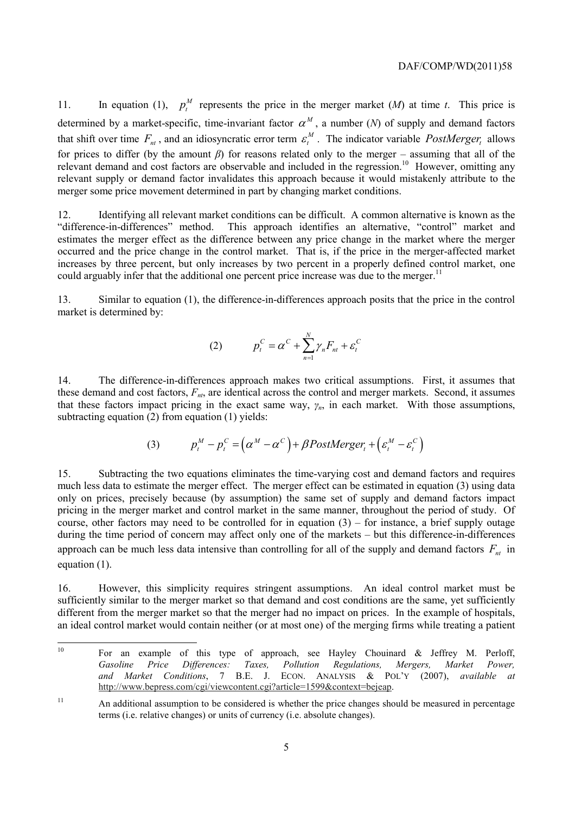11. In equation (1),  $p_t^M$  represents the price in the merger market (*M*) at time *t*. This price is determined by a market-specific, time-invariant factor  $\alpha^M$ , a number (*N*) of supply and demand factors that shift over time  $F_{nt}$ , and an idiosyncratic error term  $\varepsilon_t^M$ . The indicator variable *PostMerger*, allows for prices to differ (by the amount *β*) for reasons related only to the merger – assuming that all of the relevant demand and cost factors are observable and included in the regression.<sup>10</sup> However, omitting any relevant supply or demand factor invalidates this approach because it would mistakenly attribute to the merger some price movement determined in part by changing market conditions.

could arguably infer that the additional one percent price increase was due to the merger.<sup>11</sup> 12. Identifying all relevant market conditions can be difficult. A common alternative is known as the "difference-in-differences" method. This approach identifies an alternative, "control" market and estimates the merger effect as the difference between any price change in the market where the merger occurred and the price change in the control market. That is, if the price in the merger-affected market increases by three percent, but only increases by two percent in a properly defined control market, one

13. Similar to equation (1), the difference-in-differences approach posits that the price in the control market is determined by:

$$
(2) \t p_t^C = \alpha^C + \sum_{n=1}^N \gamma_n F_{nt} + \varepsilon_t^C
$$

14. The difference-in-differences approach makes two critical assumptions. First, it assumes that these demand and cost factors,  $F<sub>n</sub>$ , are identical across the control and merger markets. Second, it assumes that these factors impact pricing in the exact same way,  $\gamma_n$ , in each market. With those assumptions, subtracting equation (2) from equation (1) yields:

(3) 
$$
p_t^M - p_t^C = (\alpha^M - \alpha^C) + \beta PostMerge_t + (\varepsilon_t^M - \varepsilon_t^C)
$$

15. Subtracting the two equations eliminates the time-varying cost and demand factors and requires much less data to estimate the merger effect. The merger effect can be estimated in equation (3) using data only on prices, precisely because (by assumption) the same set of supply and demand factors impact pricing in the merger market and control market in the same manner, throughout the period of study. Of course, other factors may need to be controlled for in equation  $(3)$  – for instance, a brief supply outage during the time period of concern may affect only one of the markets – but this difference-in-differences approach can be much less data intensive than controlling for all of the supply and demand factors  $F_{n}$  in equation (1).

16. However, this simplicity requires stringent assumptions. An ideal control market must be sufficiently similar to the merger market so that demand and cost conditions are the same, yet sufficiently different from the merger market so that the merger had no impact on prices. In the example of hospitals, an ideal control market would contain neither (or at most one) of the merging firms while treating a patient

 $\overline{a}$ 

Power, Market Conditions, 7 B.E. J. For an example of this type of approach, see Hayley Chouinard  $\&$  Jeffrey M. Perloff, *Gasoline Price Differences: Taxes, Pollution Regulations, Mergers, Market Power, and Market Conditions*, 7 B.E. J. ECON. ANALYSIS & POL'Y (2007), *available at*  http://www.bepress.com/cgi/viewcontent.cgi?article=1599&context=bejeap.

<sup>&</sup>lt;sup>11</sup> An additional assumption to be considered is whether the price changes should be measured in percentage terms (i.e. relative changes) or units of currency (i.e. absolute changes).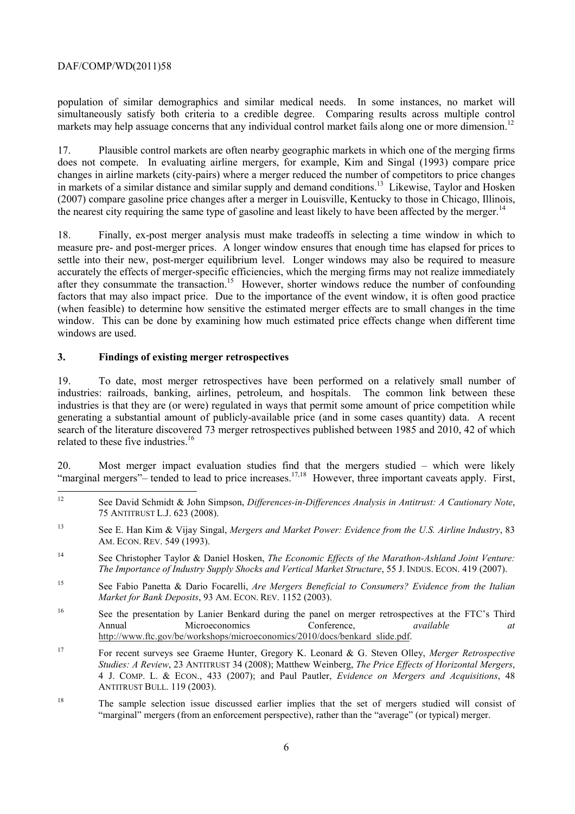markets may help assuage concerns that any individual control market fails along one or more dimension.<sup>12</sup> population of similar demographics and similar medical needs. In some instances, no market will simultaneously satisfy both criteria to a credible degree. Comparing results across multiple control

17. Plausible control markets are often nearby geographic markets in which one of the merging firms does not compete. In evaluating airline mergers, for example, Kim and Singal (1993) compare price changes in airline markets (city-pairs) where a merger reduced the number of competitors to price changes in markets of a similar distance and similar supply and demand conditions.<sup>13</sup> Likewise, Taylor and Hosken (2007) compare gasoline price changes after a merger in Louisville, Kentucky to those in Chicago, Illinois, the nearest city requiring the same type of gasoline and least likely to have been affected by the merger.<sup>14</sup>

18. Finally, ex-post merger analysis must make tradeoffs in selecting a time window in which to measure pre- and post-merger prices. A longer window ensures that enough time has elapsed for prices to settle into their new, post-merger equilibrium level. Longer windows may also be required to measure accurately the effects of merger-specific efficiencies, which the merging firms may not realize immediately after they consummate the transaction.<sup>15</sup> However, shorter windows reduce the number of confounding factors that may also impact price. Due to the importance of the event window, it is often good practice (when feasible) to determine how sensitive the estimated merger effects are to small changes in the time window. This can be done by examining how much estimated price effects change when different time windows are used.

## **3. Findings of existing merger retrospectives**

19. To date, most merger retrospectives have been performed on a relatively small number of industries: railroads, banking, airlines, petroleum, and hospitals. The common link between these industries is that they are (or were) regulated in ways that permit some amount of price competition while generating a substantial amount of publicly-available price (and in some cases quantity) data. A recent search of the literature discovered 73 merger retrospectives published between 1985 and 2010, 42 of which related to these five industries  $16$ 

"marginal mergers"– tended to lead to price increases.<sup>17,18</sup> However, three important caveats apply. First, 20. Most merger impact evaluation studies find that the mergers studied – which were likely

 12 See David Schmidt & John Simpson, *Differences-in-Differences Analysis in Antitrust: A Cautionary Note*, 75 ANTITRUST L.J. 623 (2008).

 AM. ECON. REV. 549 (1993). 13 See E. Han Kim & Vijay Singal, *Mergers and Market Power: Evidence from the U.S. Airline Industry*, 83

 *The Importance of Industry Supply Shocks and Vertical Market Structure*, 55 J. INDUS. ECON. 419 (2007). 14 See Christopher Taylor & Daniel Hosken, *The Economic Effects of the Marathon-Ashland Joint Venture:* 

 *Market for Bank Deposits*, 93 AM. ECON. REV. 1152 (2003). 15 See Fabio Panetta & Dario Focarelli, *Are Mergers Beneficial to Consumers? Evidence from the Italian* 

<sup>&</sup>lt;sup>16</sup> See the presentation by Lanier Benkard during the panel on merger retrospectives at the FTC's Third Annual Microeconomics Conference, *available at*  http://www.ftc.gov/be/workshops/microeconomics/2010/docs/benkard\_slide.pdf.

 $17$  4 J. COMP. L. & ECON., 433 (2007); and Paul Pautler, *Evidence on Mergers and Acquisitions*, 48 17 For recent surveys see Graeme Hunter, Gregory K. Leonard & G. Steven Olley, *Merger Retrospective Studies: A Review*, 23 ANTITRUST 34 (2008); Matthew Weinberg, *The Price Effects of Horizontal Mergers*, ANTITRUST BULL. 119 (2003).

<sup>&</sup>lt;sup>18</sup> The sample selection issue discussed earlier implies that the set of mergers studied will consist of "marginal" mergers (from an enforcement perspective), rather than the "average" (or typical) merger.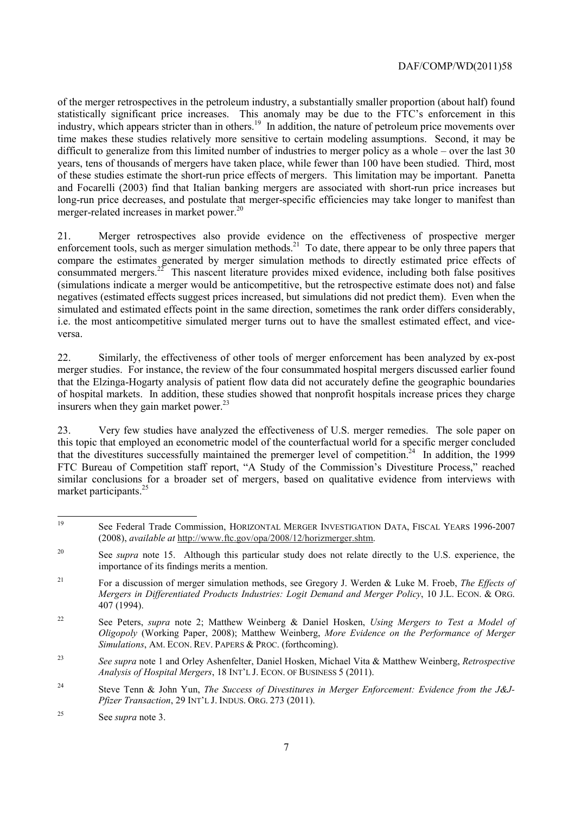industry, which appears stricter than in others.<sup>19</sup> In addition, the nature of petroleum price movements over of the merger retrospectives in the petroleum industry, a substantially smaller proportion (about half) found statistically significant price increases. This anomaly may be due to the FTC's enforcement in this time makes these studies relatively more sensitive to certain modeling assumptions. Second, it may be difficult to generalize from this limited number of industries to merger policy as a whole – over the last 30 years, tens of thousands of mergers have taken place, while fewer than 100 have been studied. Third, most of these studies estimate the short-run price effects of mergers. This limitation may be important. Panetta and Focarelli (2003) find that Italian banking mergers are associated with short-run price increases but long-run price decreases, and postulate that merger-specific efficiencies may take longer to manifest than merger-related increases in market power.<sup>20</sup>

21. Merger retrospectives also provide evidence on the effectiveness of prospective merger enforcement tools, such as merger simulation methods.<sup>21</sup> To date, there appear to be only three papers that compare the estimates generated by merger simulation methods to directly estimated price effects of consummated mergers.<sup>22</sup> This nascent literature provides mixed evidence, including both false positives (simulations indicate a merger would be anticompetitive, but the retrospective estimate does not) and false negatives (estimated effects suggest prices increased, but simulations did not predict them). Even when the simulated and estimated effects point in the same direction, sometimes the rank order differs considerably, i.e. the most anticompetitive simulated merger turns out to have the smallest estimated effect, and viceversa.

22. Similarly, the effectiveness of other tools of merger enforcement has been analyzed by ex-post merger studies. For instance, the review of the four consummated hospital mergers discussed earlier found that the Elzinga-Hogarty analysis of patient flow data did not accurately define the geographic boundaries of hospital markets. In addition, these studies showed that nonprofit hospitals increase prices they charge insurers when they gain market power.<sup>23</sup>

 23. Very few studies have analyzed the effectiveness of U.S. merger remedies. The sole paper on this topic that employed an econometric model of the counterfactual world for a specific merger concluded that the divestitures successfully maintained the premerger level of competition.<sup>24</sup> In addition, the 1999 FTC Bureau of Competition staff report, "A Study of the Commission's Divestiture Process," reached similar conclusions for a broader set of mergers, based on qualitative evidence from interviews with market participants.<sup>25</sup>

 $\overline{a}$ 19 See Federal Trade Commission, HORIZONTAL MERGER INVESTIGATION DATA, FISCAL YEARS 1996-2007 (2008), *available at* http://www.ftc.gov/opa/2008/12/horizmerger.shtm.

importance of its findings merits a mention. <sup>20</sup> See *supra* note 15. Although this particular study does not relate directly to the U.S. experience, the

<sup>21</sup>  *Mergers in Differentiated Products Industries: Logit Demand and Merger Policy*, 10 J.L. ECON. & ORG. For a discussion of merger simulation methods, see Gregory J. Werden & Luke M. Froeb, *The Effects of* 407 (1994).

 $22$  *Simulations*, AM. ECON. REV. PAPERS & PROC. (forthcoming). 22 See Peters, *supra* note 2; Matthew Weinberg & Daniel Hosken, *Using Mergers to Test a Model of Oligopoly* (Working Paper, 2008); Matthew Weinberg, *More Evidence on the Performance of Merger* 

<sup>23</sup> <sup>23</sup>*See supra* note 1 and Orley Ashenfelter, Daniel Hosken, Michael Vita & Matthew Weinberg, *Retrospective Analysis of Hospital Mergers*, 18 INT'L J. ECON. OF BUSINESS 5 (2011).

 $24$  *Pfizer Transaction*, 29 INT'L J. INDUS. ORG. 273 (2011). Steve Tenn & John Yun, *The Success of Divestitures in Merger Enforcement: Evidence from the J&J-*

<sup>25</sup> See *supra* note 3.